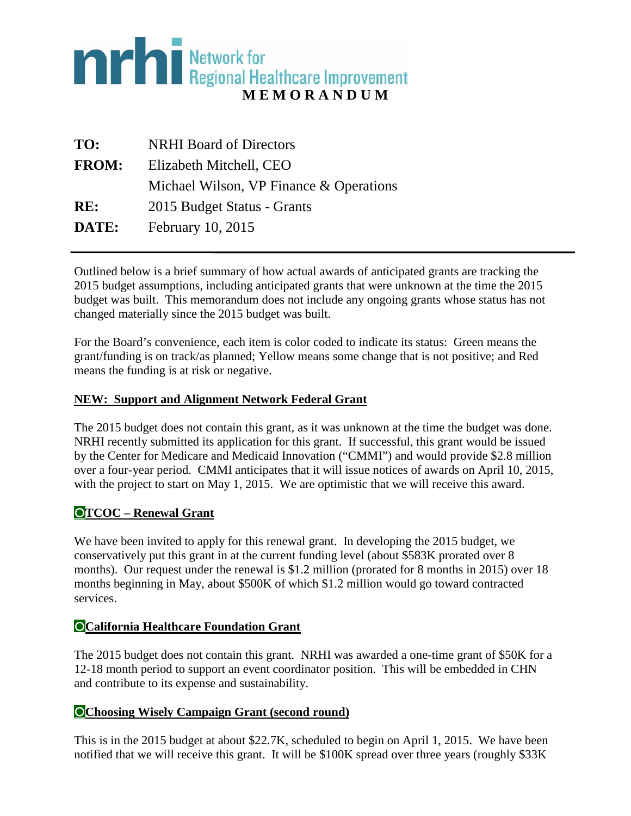# **MENORATION CONSUMED IN EXAMPLE 18 NORAN DUM**

| TO:          | <b>NRHI Board of Directors</b>            |
|--------------|-------------------------------------------|
| <b>FROM:</b> | Elizabeth Mitchell, CEO                   |
|              | Michael Wilson, VP Finance $&$ Operations |
| RE:          | 2015 Budget Status - Grants               |
| DATE:        | February 10, 2015                         |

Outlined below is a brief summary of how actual awards of anticipated grants are tracking the 2015 budget assumptions, including anticipated grants that were unknown at the time the 2015 budget was built. This memorandum does not include any ongoing grants whose status has not changed materially since the 2015 budget was built.

For the Board's convenience, each item is color coded to indicate its status: Green means the grant/funding is on track/as planned; Yellow means some change that is not positive; and Red means the funding is at risk or negative.

#### **NEW: Support and Alignment Network Federal Grant**

The 2015 budget does not contain this grant, as it was unknown at the time the budget was done. NRHI recently submitted its application for this grant. If successful, this grant would be issued by the Center for Medicare and Medicaid Innovation ("CMMI") and would provide \$2.8 million over a four-year period. CMMI anticipates that it will issue notices of awards on April 10, 2015, with the project to start on May 1, 2015. We are optimistic that we will receive this award.

# **TCOC – Renewal Grant**

We have been invited to apply for this renewal grant. In developing the 2015 budget, we conservatively put this grant in at the current funding level (about \$583K prorated over 8 months). Our request under the renewal is \$1.2 million (prorated for 8 months in 2015) over 18 months beginning in May, about \$500K of which \$1.2 million would go toward contracted services.

#### **California Healthcare Foundation Grant**

The 2015 budget does not contain this grant. NRHI was awarded a one-time grant of \$50K for a 12-18 month period to support an event coordinator position. This will be embedded in CHN and contribute to its expense and sustainability.

#### **Choosing Wisely Campaign Grant (second round)**

This is in the 2015 budget at about \$22.7K, scheduled to begin on April 1, 2015. We have been notified that we will receive this grant. It will be \$100K spread over three years (roughly \$33K